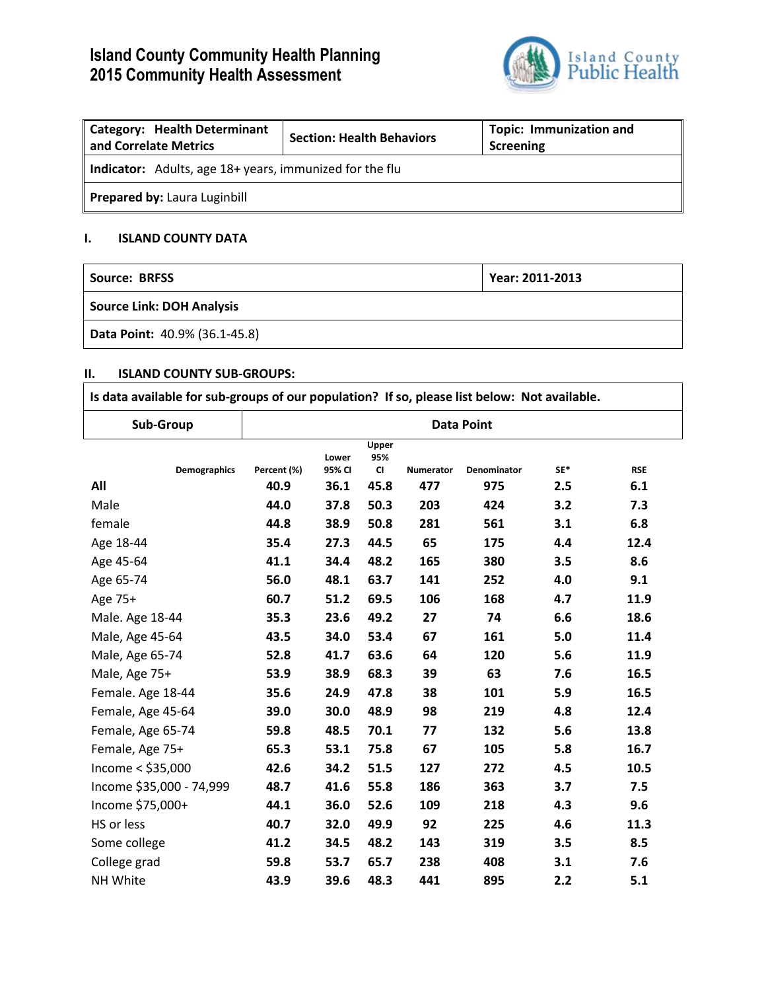# **Island County Community Health Planning 2015 Community Health Assessment**



| <b>Category: Health Determinant</b><br>and Correlate Metrics   | <b>Section: Health Behaviors</b> | <b>Topic: Immunization and</b><br>Screening |  |  |  |  |
|----------------------------------------------------------------|----------------------------------|---------------------------------------------|--|--|--|--|
| <b>Indicator:</b> Adults, age 18+ years, immunized for the flu |                                  |                                             |  |  |  |  |
| Prepared by: Laura Luginbill                                   |                                  |                                             |  |  |  |  |

## **I. ISLAND COUNTY DATA**

| Source: BRFSS                    | Year: 2011-2013 |  |  |  |  |
|----------------------------------|-----------------|--|--|--|--|
| <b>Source Link: DOH Analysis</b> |                 |  |  |  |  |
| Data Point: 40.9% (36.1-45.8)    |                 |  |  |  |  |

#### **II. ISLAND COUNTY SUB-GROUPS:**

| Is data available for sub-groups of our population? If so, please list below: Not available. |                   |                 |                           |           |             |     |            |
|----------------------------------------------------------------------------------------------|-------------------|-----------------|---------------------------|-----------|-------------|-----|------------|
| Sub-Group                                                                                    | <b>Data Point</b> |                 |                           |           |             |     |            |
| <b>Demographics</b>                                                                          | Percent (%)       | Lower<br>95% CI | Upper<br>95%<br><b>CI</b> | Numerator | Denominator | SE* | <b>RSE</b> |
| All                                                                                          | 40.9              | 36.1            | 45.8                      | 477       | 975         | 2.5 | 6.1        |
| Male                                                                                         | 44.0              | 37.8            | 50.3                      | 203       | 424         | 3.2 | 7.3        |
| female                                                                                       | 44.8              | 38.9            | 50.8                      | 281       | 561         | 3.1 | 6.8        |
| Age 18-44                                                                                    | 35.4              | 27.3            | 44.5                      | 65        | 175         | 4.4 | 12.4       |
| Age 45-64                                                                                    | 41.1              | 34.4            | 48.2                      | 165       | 380         | 3.5 | 8.6        |
| Age 65-74                                                                                    | 56.0              | 48.1            | 63.7                      | 141       | 252         | 4.0 | 9.1        |
| Age 75+                                                                                      | 60.7              | 51.2            | 69.5                      | 106       | 168         | 4.7 | 11.9       |
| Male. Age 18-44                                                                              | 35.3              | 23.6            | 49.2                      | 27        | 74          | 6.6 | 18.6       |
| Male, Age 45-64                                                                              | 43.5              | 34.0            | 53.4                      | 67        | 161         | 5.0 | 11.4       |
| Male, Age 65-74                                                                              | 52.8              | 41.7            | 63.6                      | 64        | 120         | 5.6 | 11.9       |
| Male, Age 75+                                                                                | 53.9              | 38.9            | 68.3                      | 39        | 63          | 7.6 | 16.5       |
| Female. Age 18-44                                                                            | 35.6              | 24.9            | 47.8                      | 38        | 101         | 5.9 | 16.5       |
| Female, Age 45-64                                                                            | 39.0              | 30.0            | 48.9                      | 98        | 219         | 4.8 | 12.4       |
| Female, Age 65-74                                                                            | 59.8              | 48.5            | 70.1                      | 77        | 132         | 5.6 | 13.8       |
| Female, Age 75+                                                                              | 65.3              | 53.1            | 75.8                      | 67        | 105         | 5.8 | 16.7       |
| Income $<$ \$35,000                                                                          | 42.6              | 34.2            | 51.5                      | 127       | 272         | 4.5 | 10.5       |
| Income \$35,000 - 74,999                                                                     | 48.7              | 41.6            | 55.8                      | 186       | 363         | 3.7 | 7.5        |
| Income \$75,000+                                                                             | 44.1              | 36.0            | 52.6                      | 109       | 218         | 4.3 | 9.6        |
| HS or less                                                                                   | 40.7              | 32.0            | 49.9                      | 92        | 225         | 4.6 | 11.3       |
| Some college                                                                                 | 41.2              | 34.5            | 48.2                      | 143       | 319         | 3.5 | 8.5        |
| College grad                                                                                 | 59.8              | 53.7            | 65.7                      | 238       | 408         | 3.1 | 7.6        |
| NH White                                                                                     | 43.9              | 39.6            | 48.3                      | 441       | 895         | 2.2 | 5.1        |